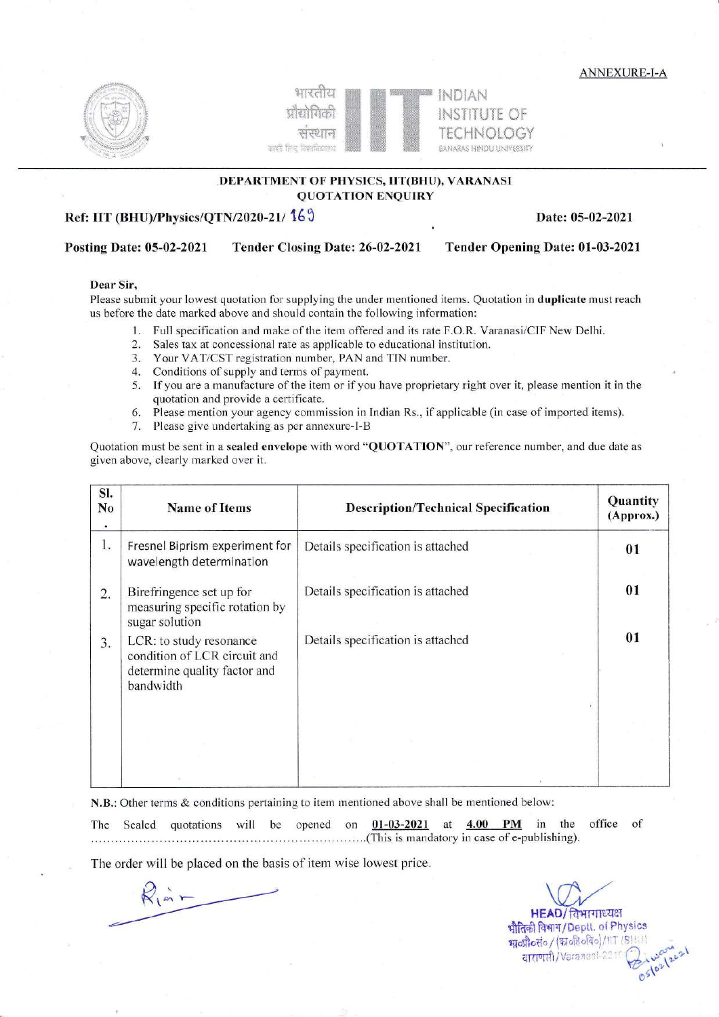ANNEXURE-I-A





## DEPARTMENT OF PHYSICS, IIT(BHU), VARANASI QUOTATION ENQUIRY

# Ref: IIT (BHU)/Physics/QTN/2020-21/ 169 Date: 05-02-2021

## Posting Date: 05-02-2021 Tender Closing Date: 26-02-2021 Tender Opening Date: 01-03-2021

### Dear Sir,

Please submit your lowest quotation for supplying the under mentioned items. Quotation in duplicate must reach us before the date marked above and should contain the following information:

- l. Full specification and make of the item offered and its rate F.O.R. Varanasi/ClF New Delhi.
- Sales tax at concessional rate as applicable to educational institution.
- 3. Your VAT/CST registration number, PAN and TIN number.
- 4. Conditions of supply and terms of payment.
- 5. If you are a manufacture of the item or if you have proprietary right over it, please mention it in the quotation and provide a certificate.
- 6. Please mention your agency commission in Indian Rs., if applicable (in case of imported items).
- 7. Please give undeftaking as per annexure-I-B

Quotation must be sent in a sealed envelope with word "QUOTATION", our reference number, and due date as given above, clearly marked over it.

| SI.<br>No | <b>Name of Items</b>                                                                                 | <b>Description/Technical Specification</b> | Quantity<br>(Approx.) |
|-----------|------------------------------------------------------------------------------------------------------|--------------------------------------------|-----------------------|
| 1.        | Fresnel Biprism experiment for<br>wavelength determination                                           | Details specification is attached          | 01                    |
| 2.        | Birefringence set up for<br>measuring specific rotation by<br>sugar solution                         | Details specification is attached          | 01                    |
| 3.        | LCR: to study resonance<br>condition of LCR circuit and<br>determine quality factor and<br>bandwidth | Details specification is attached          | 01                    |
|           |                                                                                                      |                                            |                       |

N.B.: Other terms & conditions pertaining to item mentioned above shall be mentioned below

The Sealed quotations will be opened at  $4.00$  PM in the office of

The order will be placed on the basis of item wise lowest price.

 $R_{\hat{i}}$  in  $-$ 

 $HEAD/$ विभागाध्यक्ष भौतिकी विभाग/Deptt. of Physics श्रावणा विभाग) Bepti. ar 11,91111<br>श्रावण्री of (कावहेवविव)/11T (BHU)<br>| द्याराणरी /Varanasi-2311 (میلادی) ary 2)  $\mathbb{O}^{5}$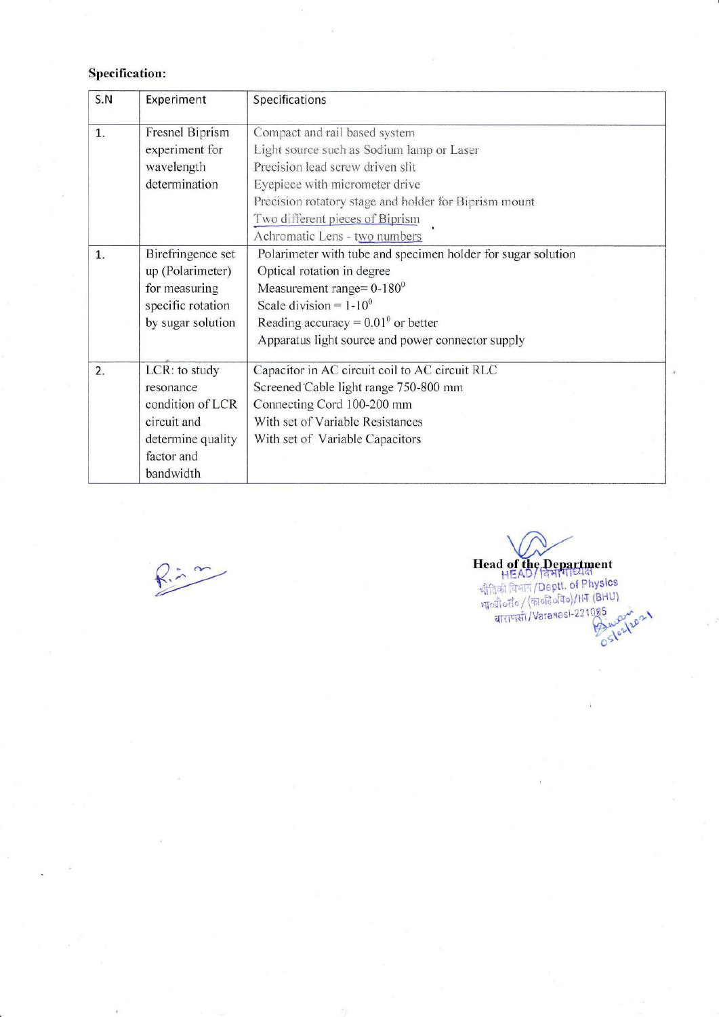# **Specification:**

| S.N | Experiment        | Specifications                                               |  |  |  |  |
|-----|-------------------|--------------------------------------------------------------|--|--|--|--|
| 1.  | Fresnel Biprism   | Compact and rail based system                                |  |  |  |  |
|     | experiment for    | Light source such as Sodium lamp or Laser                    |  |  |  |  |
|     | wavelength        | Precision lead screw driven slit                             |  |  |  |  |
|     | determination     | Eyepiece with micrometer drive                               |  |  |  |  |
|     |                   | Precision rotatory stage and holder for Biprism mount        |  |  |  |  |
|     |                   | Two different pieces of Biprism                              |  |  |  |  |
|     |                   | Achromatic Lens - two numbers                                |  |  |  |  |
| 1.  | Birefringence set | Polarimeter with tube and specimen holder for sugar solution |  |  |  |  |
|     | up (Polarimeter)  | Optical rotation in degree                                   |  |  |  |  |
|     | for measuring     | Measurement range= $0-180$ <sup>0</sup>                      |  |  |  |  |
|     | specific rotation | Scale division = $1-10^0$                                    |  |  |  |  |
|     | by sugar solution | Reading accuracy = $0.01^{\circ}$ or better                  |  |  |  |  |
|     |                   | Apparatus light source and power connector supply            |  |  |  |  |
| 2.  | LCR: to study     | Capacitor in AC circuit coil to AC circuit RLC               |  |  |  |  |
|     | resonance         | Screened Cable light range 750-800 mm                        |  |  |  |  |
|     | condition of LCR  | Connecting Cord 100-200 mm                                   |  |  |  |  |
|     | circuit and       | With set of Variable Resistances                             |  |  |  |  |
|     | determine quality | With set of Variable Capacitors                              |  |  |  |  |
|     | factor and        |                                                              |  |  |  |  |
|     | bandwidth         |                                                              |  |  |  |  |

 $R = 7$ 

Head of the Department<br>
HEAD/ विभाग/Beptt. of Physics<br>
भौतिकी विभाग/Deptt. of Physics<br>
भारती (कार्जरेड 221085<br>
वाराणसी/Varanasi-221085 Ostazlzo 21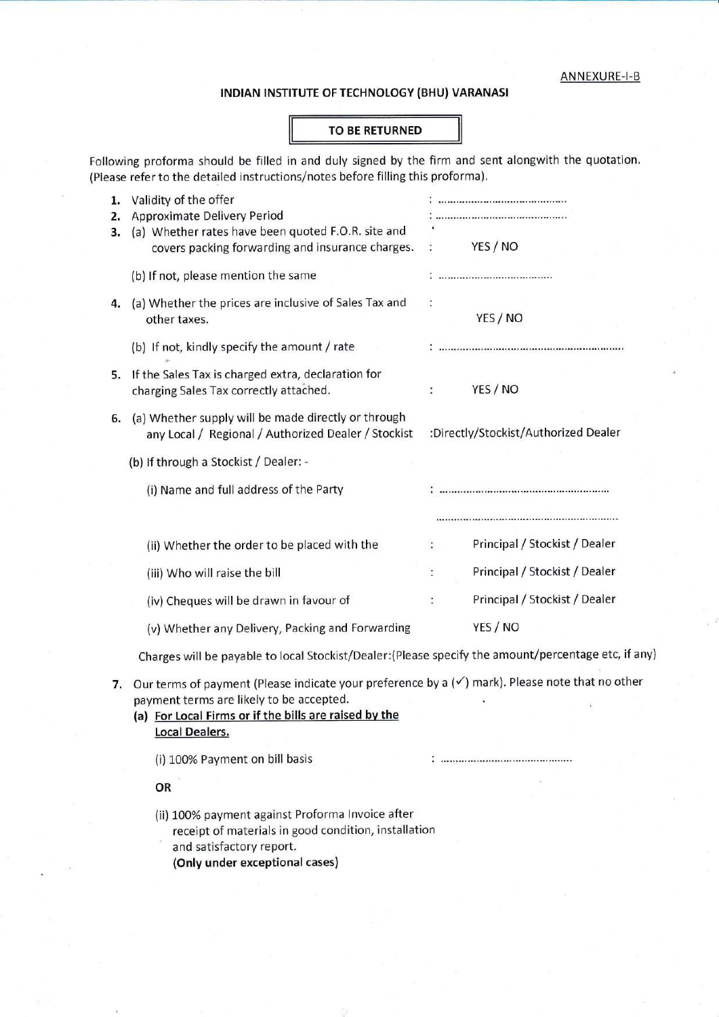#### INDIAN INSTITUTE OF TECHNOLOGY (BHU) VARANASI

### TO BE RETURNED

Following proforma should be filled in and duly signed by the firm and sent alongwith the quotation. (Please refer to the detailed instructions/notes before filling this proforma).

| 1.<br>2.<br>з. | Validity of the offer<br><b>Approximate Delivery Period</b><br>(a) Whether rates have been quoted F.O.R. site and |                |                                      |  |  |
|----------------|-------------------------------------------------------------------------------------------------------------------|----------------|--------------------------------------|--|--|
|                | covers packing forwarding and insurance charges.                                                                  |                | YES / NO                             |  |  |
|                | (b) If not, please mention the same                                                                               |                |                                      |  |  |
| 4.             | (a) Whether the prices are inclusive of Sales Tax and<br>other taxes.                                             |                | YES / NO                             |  |  |
|                | (b) If not, kindly specify the amount / rate                                                                      |                |                                      |  |  |
| 5.             | If the Sales Tax is charged extra, declaration for<br>charging Sales Tax correctly attached.                      | ÷              | YES / NO                             |  |  |
| 6.             | (a) Whether supply will be made directly or through<br>any Local / Regional / Authorized Dealer / Stockist        |                | :Directly/Stockist/Authorized Dealer |  |  |
|                | (b) If through a Stockist / Dealer: -                                                                             |                |                                      |  |  |
|                | (i) Name and full address of the Party                                                                            |                |                                      |  |  |
|                | (ii) Whether the order to be placed with the                                                                      | ÷              | Principal / Stockist / Dealer        |  |  |
|                | (iii) Who will raise the bill                                                                                     | $\ddot{\cdot}$ | Principal / Stockist / Dealer        |  |  |
|                |                                                                                                                   |                | Principal / Stockist / Dealer        |  |  |
|                | (iv) Cheques will be drawn in favour of                                                                           | $\ddot{\cdot}$ |                                      |  |  |
|                | (v) Whether any Delivery, Packing and Forwarding                                                                  |                | YES / NO                             |  |  |
|                | Charges will be payable to local Stockist/Dealer: (Please specify the amount/percentage etc, if any)              |                |                                      |  |  |
|                |                                                                                                                   |                |                                      |  |  |

7. Our terms of payment (Please indicate your preference by a  $(\checkmark)$  mark). Please note that no other payment terms are likely to be accepted

 $: ... ... ... ... ... ... ... ... ... ... ... ...$ 

(a) For Local Firms or if the bills are raised by the Local Dealers.

(i) 100% Payment on bill basis

OR

(ii) 100% payment against Proforma Invoice after receipt of materials in good condition, installation and satisfactory report. (Only under exceptional cases)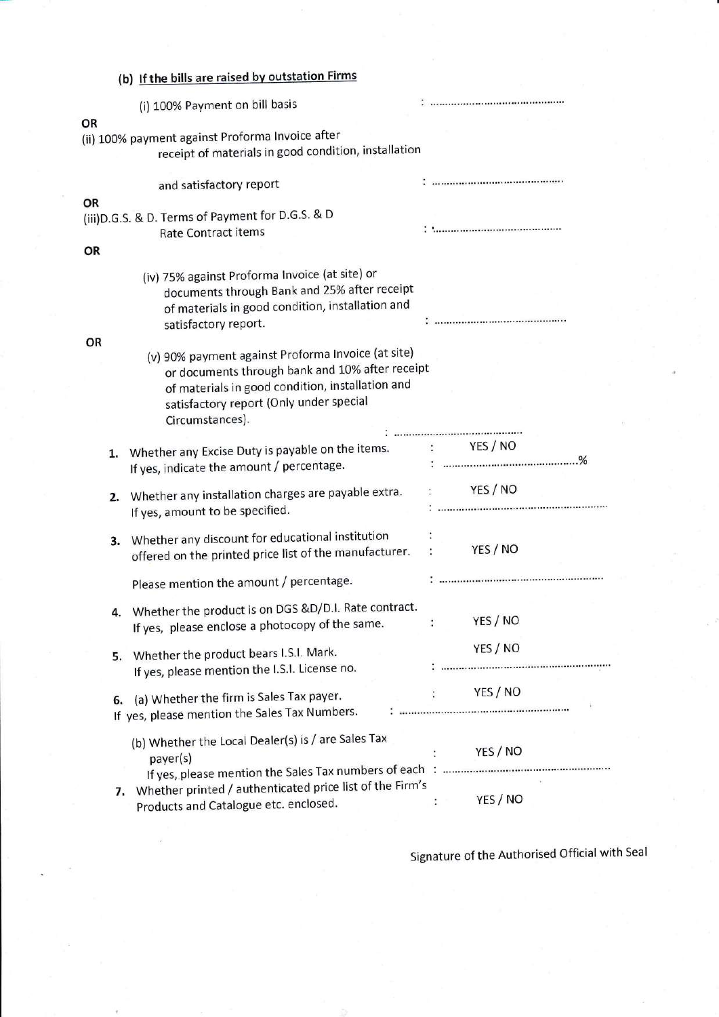|    |    | (b) If the bills are raised by outstation Firms                                                                                                                                                                         |                      |                                      |
|----|----|-------------------------------------------------------------------------------------------------------------------------------------------------------------------------------------------------------------------------|----------------------|--------------------------------------|
|    |    | (i) 100% Payment on bill basis                                                                                                                                                                                          |                      |                                      |
| OR |    | (ii) 100% payment against Proforma Invoice after<br>receipt of materials in good condition, installation                                                                                                                |                      |                                      |
|    |    | and satisfactory report                                                                                                                                                                                                 |                      |                                      |
| OR |    | (iii) D.G.S. & D. Terms of Payment for D.G.S. & D<br><b>Rate Contract items</b>                                                                                                                                         |                      |                                      |
| OR |    |                                                                                                                                                                                                                         |                      |                                      |
|    |    | (iv) 75% against Proforma Invoice (at site) or<br>documents through Bank and 25% after receipt<br>of materials in good condition, installation and<br>satisfactory report.                                              |                      |                                      |
| OR |    |                                                                                                                                                                                                                         |                      |                                      |
|    |    | (v) 90% payment against Proforma Invoice (at site)<br>or documents through bank and 10% after receipt<br>of materials in good condition, installation and<br>satisfactory report (Only under special<br>Circumstances). |                      |                                      |
|    | 1. | Whether any Excise Duty is payable on the items.<br>If yes, indicate the amount / percentage.                                                                                                                           |                      | YES / NO<br><u>: ……………………………………%</u> |
|    | 2. | Whether any installation charges are payable extra.<br>If yes, amount to be specified.                                                                                                                                  |                      | YES / NO                             |
|    | 3. | Whether any discount for educational institution<br>offered on the printed price list of the manufacturer.                                                                                                              | $\ddot{\phantom{a}}$ | YES / NO                             |
|    |    | Please mention the amount / percentage.                                                                                                                                                                                 |                      |                                      |
|    |    | 4. Whether the product is on DGS &D/D.I. Rate contract.<br>If yes, please enclose a photocopy of the same.                                                                                                              | $\ddot{\phantom{a}}$ | YES / NO                             |
|    |    | 5. Whether the product bears I.S.I. Mark.<br>If yes, please mention the I.S.I. License no.                                                                                                                              |                      | YES / NO                             |
|    |    | 6. (a) Whether the firm is Sales Tax payer.<br>If yes, please mention the Sales Tax Numbers.                                                                                                                            |                      | YES / NO                             |
|    |    | (b) Whether the Local Dealer(s) is / are Sales Tax<br>payer(s)                                                                                                                                                          |                      | YES/NO                               |
|    |    | 7. Whether printed / authenticated price list of the Firm's<br>Products and Catalogue etc. enclosed.                                                                                                                    |                      | YES / NO                             |

Signature of the Authorised Official with Seal